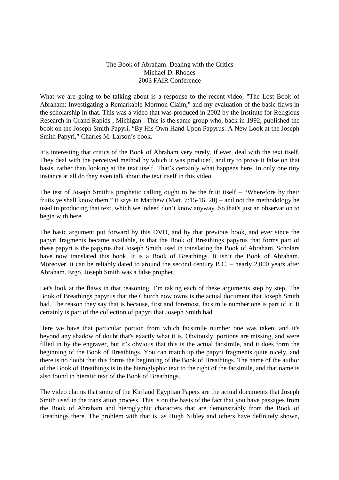## The Book of Abraham: Dealing with the Critics Michael D. Rhodes 2003 FAIR Conference

What we are going to be talking about is a response to the recent video, "The Lost Book of Abraham: Investigating a Remarkable Mormon Claim," and my evaluation of the basic flaws in the scholarship in that. This was a video that was produced in 2002 by the Institute for Religious Research in Grand Rapids , Michigan . This is the same group who, back in 1992, published the book on the Joseph Smith Papyri, "By His Own Hand Upon Papyrus: A New Look at the Joseph Smith Papyri," Charles M. Larson's book.

It's interesting that critics of the Book of Abraham very rarely, if ever, deal with the text itself. They deal with the perceived method by which it was produced, and try to prove it false on that basis, rather than looking at the text itself. That's certainly what happens here. In only one tiny instance at all do they even talk about the text itself in this video.

The test of Joseph Smith's prophetic calling ought to be the fruit itself – "Wherefore by their fruits ye shall know them," it says in Matthew (Matt. 7:15-16, 20) – and not the methodology he used in producing that text, which we indeed don't know anyway. So that's just an observation to begin with here.

The basic argument put forward by this DVD, and by that previous book, and ever since the papyri fragments became available, is that the Book of Breathings papyrus that forms part of these papyri is the papyrus that Joseph Smith used in translating the Book of Abraham. Scholars have now translated this book. It is a Book of Breathings. It isn't the Book of Abraham. Moreover, it can be reliably dated to around the second century B.C. – nearly 2,000 years after Abraham. Ergo, Joseph Smith was a false prophet.

Let's look at the flaws in that reasoning. I'm taking each of these arguments step by step. The Book of Breathings papyrus that the Church now owns is the actual document that Joseph Smith had. The reason they say that is because, first and foremost, facsimile number one is part of it. It certainly is part of the collection of papyri that Joseph Smith had.

Here we have that particular portion from which facsimile number one was taken, and it's beyond any shadow of doubt that's exactly what it is. Obviously, portions are missing, and were filled in by the engraver, but it's obvious that this is the actual facsimile, and it does form the beginning of the Book of Breathings. You can match up the papyri fragments quite nicely, and there is no doubt that this forms the beginning of the Book of Breathings. The name of the author of the Book of Breathings is in the hieroglyphic text to the right of the facsimile, and that name is also found in hieratic text of the Book of Breathings.

The video claims that some of the Kirtland Egyptian Papers are the actual documents that Joseph Smith used in the translation process. This is on the basis of the fact that you have passages from the Book of Abraham and hieroglyphic characters that are demonstrably from the Book of Breathings there. The problem with that is, as Hugh Nibley and others have definitely shown,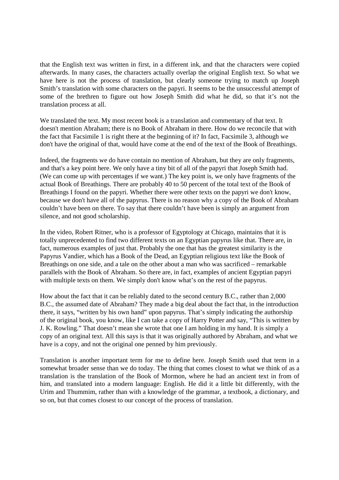that the English text was written in first, in a different ink, and that the characters were copied afterwards. In many cases, the characters actually overlap the original English text. So what we have here is not the process of translation, but clearly someone trying to match up Joseph Smith's translation with some characters on the papyri. It seems to be the unsuccessful attempt of some of the brethren to figure out how Joseph Smith did what he did, so that it's not the translation process at all.

We translated the text. My most recent book is a translation and commentary of that text. It doesn't mention Abraham; there is no Book of Abraham in there. How do we reconcile that with the fact that Facsimile 1 is right there at the beginning of it? In fact, Facsimile 3, although we don't have the original of that, would have come at the end of the text of the Book of Breathings.

Indeed, the fragments we do have contain no mention of Abraham, but they are only fragments, and that's a key point here. We only have a tiny bit of all of the papyri that Joseph Smith had. (We can come up with percentages if we want.) The key point is, we only have fragments of the actual Book of Breathings. There are probably 40 to 50 percent of the total text of the Book of Breathings I found on the papyri. Whether there were other texts on the papyri we don't know, because we don't have all of the papyrus. There is no reason why a copy of the Book of Abraham couldn't have been on there. To say that there couldn't have been is simply an argument from silence, and not good scholarship.

In the video, Robert Ritner, who is a professor of Egyptology at Chicago, maintains that it is totally unprecedented to find two different texts on an Egyptian papyrus like that. There are, in fact, numerous examples of just that. Probably the one that has the greatest similarity is the Papyrus Vandier, which has a Book of the Dead, an Egyptian religious text like the Book of Breathings on one side, and a tale on the other about a man who was sacrificed – remarkable parallels with the Book of Abraham. So there are, in fact, examples of ancient Egyptian papyri with multiple texts on them. We simply don't know what's on the rest of the papyrus.

How about the fact that it can be reliably dated to the second century B.C., rather than 2,000 B.C., the assumed date of Abraham? They made a big deal about the fact that, in the introduction there, it says, "written by his own hand" upon papyrus. That's simply indicating the authorship of the original book, you know, like I can take a copy of Harry Potter and say, "This is written by J. K. Rowling." That doesn't mean she wrote that one I am holding in my hand. It is simply a copy of an original text. All this says is that it was originally authored by Abraham, and what we have is a copy, and not the original one penned by him previously.

Translation is another important term for me to define here. Joseph Smith used that term in a somewhat broader sense than we do today. The thing that comes closest to what we think of as a translation is the translation of the Book of Mormon, where he had an ancient text in from of him, and translated into a modern language: English. He did it a little bit differently, with the Urim and Thummim, rather than with a knowledge of the grammar, a textbook, a dictionary, and so on, but that comes closest to our concept of the process of translation.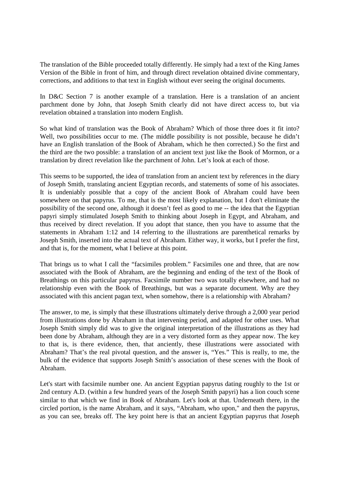The translation of the Bible proceeded totally differently. He simply had a text of the King James Version of the Bible in front of him, and through direct revelation obtained divine commentary, corrections, and additions to that text in English without ever seeing the original documents.

In D&C Section 7 is another example of a translation. Here is a translation of an ancient parchment done by John, that Joseph Smith clearly did not have direct access to, but via revelation obtained a translation into modern English.

So what kind of translation was the Book of Abraham? Which of those three does it fit into? Well, two possibilities occur to me. (The middle possibility is not possible, because he didn't have an English translation of the Book of Abraham, which he then corrected.) So the first and the third are the two possible: a translation of an ancient text just like the Book of Mormon, or a translation by direct revelation like the parchment of John. Let's look at each of those.

This seems to be supported, the idea of translation from an ancient text by references in the diary of Joseph Smith, translating ancient Egyptian records, and statements of some of his associates. It is undeniably possible that a copy of the ancient Book of Abraham could have been somewhere on that papyrus. To me, that is the most likely explanation, but I don't eliminate the possibility of the second one, although it doesn't feel as good to me -- the idea that the Egyptian papyri simply stimulated Joseph Smith to thinking about Joseph in Egypt, and Abraham, and thus received by direct revelation. If you adopt that stance, then you have to assume that the statements in Abraham 1:12 and 14 referring to the illustrations are parenthetical remarks by Joseph Smith, inserted into the actual text of Abraham. Either way, it works, but I prefer the first, and that is, for the moment, what I believe at this point.

That brings us to what I call the "facsimiles problem." Facsimiles one and three, that are now associated with the Book of Abraham, are the beginning and ending of the text of the Book of Breathings on this particular papyrus. Facsimile number two was totally elsewhere, and had no relationship even with the Book of Breathings, but was a separate document. Why are they associated with this ancient pagan text, when somehow, there is a relationship with Abraham?

The answer, to me, is simply that these illustrations ultimately derive through a 2,000 year period from illustrations done by Abraham in that intervening period, and adapted for other uses. What Joseph Smith simply did was to give the original interpretation of the illustrations as they had been done by Abraham, although they are in a very distorted form as they appear now. The key to that is, is there evidence, then, that anciently, these illustrations were associated with Abraham? That's the real pivotal question, and the answer is, "Yes." This is really, to me, the bulk of the evidence that supports Joseph Smith's association of these scenes with the Book of Abraham.

Let's start with facsimile number one. An ancient Egyptian papyrus dating roughly to the 1st or 2nd century A.D. (within a few hundred years of the Joseph Smith papyri) has a lion couch scene similar to that which we find in Book of Abraham. Let's look at that. Underneath there, in the circled portion, is the name Abraham, and it says, "Abraham, who upon," and then the papyrus, as you can see, breaks off. The key point here is that an ancient Egyptian papyrus that Joseph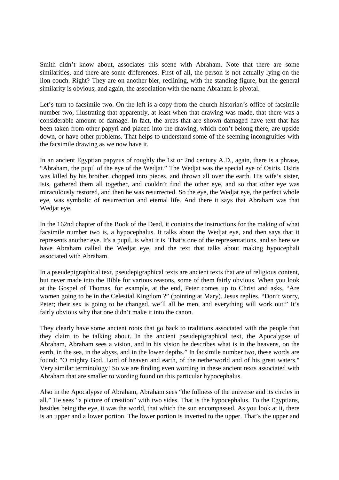Smith didn't know about, associates this scene with Abraham. Note that there are some similarities, and there are some differences. First of all, the person is not actually lying on the lion couch. Right? They are on another bier, reclining, with the standing figure, but the general similarity is obvious, and again, the association with the name Abraham is pivotal.

Let's turn to facsimile two. On the left is a copy from the church historian's office of facsimile number two, illustrating that apparently, at least when that drawing was made, that there was a considerable amount of damage. In fact, the areas that are shown damaged have text that has been taken from other papyri and placed into the drawing, which don't belong there, are upside down, or have other problems. That helps to understand some of the seeming incongruities with the facsimile drawing as we now have it.

In an ancient Egyptian papyrus of roughly the 1st or 2nd century A.D., again, there is a phrase, "Abraham, the pupil of the eye of the Wedjat." The Wedjat was the special eye of Osiris. Osiris was killed by his brother, chopped into pieces, and thrown all over the earth. His wife's sister, Isis, gathered them all together, and couldn't find the other eye, and so that other eye was miraculously restored, and then he was resurrected. So the eye, the Wedjat eye, the perfect whole eye, was symbolic of resurrection and eternal life. And there it says that Abraham was that Wedjat eye.

In the 162nd chapter of the Book of the Dead, it contains the instructions for the making of what facsimile number two is, a hypocephalus. It talks about the Wedjat eye, and then says that it represents another eye. It's a pupil, is what it is. That's one of the representations, and so here we have Abraham called the Wedjat eye, and the text that talks about making hypocephali associated with Abraham.

In a pseudepigraphical text, pseudepigraphical texts are ancient texts that are of religious content, but never made into the Bible for various reasons, some of them fairly obvious. When you look at the Gospel of Thomas, for example, at the end, Peter comes up to Christ and asks, "Are women going to be in the Celestial Kingdom ?" (pointing at Mary). Jesus replies, "Don't worry, Peter; their sex is going to be changed, we'll all be men, and everything will work out." It's fairly obvious why that one didn't make it into the canon.

They clearly have some ancient roots that go back to traditions associated with the people that they claim to be talking about. In the ancient pseudepigraphical text, the Apocalypse of Abraham, Abraham sees a vision, and in his vision he describes what is in the heavens, on the earth, in the sea, in the abyss, and in the lower depths." In facsimile number two, these words are found: "O mighty God, Lord of heaven and earth, of the netherworld and of his great waters." Very similar terminology! So we are finding even wording in these ancient texts associated with Abraham that are smaller to wording found on this particular hypocephalus.

Also in the Apocalypse of Abraham, Abraham sees "the fullness of the universe and its circles in all." He sees "a picture of creation" with two sides. That is the hypocephalus. To the Egyptians, besides being the eye, it was the world, that which the sun encompassed. As you look at it, there is an upper and a lower portion. The lower portion is inverted to the upper. That's the upper and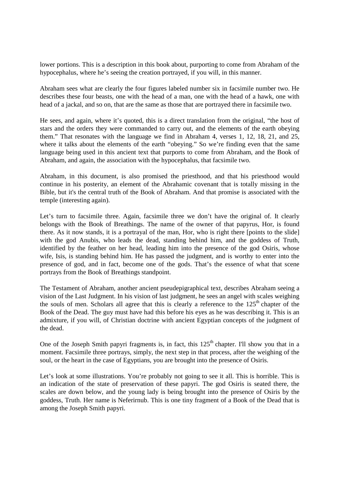lower portions. This is a description in this book about, purporting to come from Abraham of the hypocephalus, where he's seeing the creation portrayed, if you will, in this manner.

Abraham sees what are clearly the four figures labeled number six in facsimile number two. He describes these four beasts, one with the head of a man, one with the head of a hawk, one with head of a jackal, and so on, that are the same as those that are portrayed there in facsimile two.

He sees, and again, where it's quoted, this is a direct translation from the original, "the host of stars and the orders they were commanded to carry out, and the elements of the earth obeying them." That resonates with the language we find in Abraham 4, verses 1, 12, 18, 21, and 25, where it talks about the elements of the earth "obeying." So we're finding even that the same language being used in this ancient text that purports to come from Abraham, and the Book of Abraham, and again, the association with the hypocephalus, that facsimile two.

Abraham, in this document, is also promised the priesthood, and that his priesthood would continue in his posterity, an element of the Abrahamic covenant that is totally missing in the Bible, but it's the central truth of the Book of Abraham. And that promise is associated with the temple (interesting again).

Let's turn to facsimile three. Again, facsimile three we don't have the original of. It clearly belongs with the Book of Breathings. The name of the owner of that papyrus, Hor, is found there. As it now stands, it is a portrayal of the man, Hor, who is right there [points to the slide] with the god Anubis, who leads the dead, standing behind him, and the goddess of Truth, identified by the feather on her head, leading him into the presence of the god Osiris, whose wife, Isis, is standing behind him. He has passed the judgment, and is worthy to enter into the presence of god, and in fact, become one of the gods. That's the essence of what that scene portrays from the Book of Breathings standpoint.

The Testament of Abraham, another ancient pseudepigraphical text, describes Abraham seeing a vision of the Last Judgment. In his vision of last judgment, he sees an angel with scales weighing the souls of men. Scholars all agree that this is clearly a reference to the  $125<sup>th</sup>$  chapter of the Book of the Dead. The guy must have had this before his eyes as he was describing it. This is an admixture, if you will, of Christian doctrine with ancient Egyptian concepts of the judgment of the dead.

One of the Joseph Smith papyri fragments is, in fact, this  $125<sup>th</sup>$  chapter. I'll show you that in a moment. Facsimile three portrays, simply, the next step in that process, after the weighing of the soul, or the heart in the case of Egyptians, you are brought into the presence of Osiris.

Let's look at some illustrations. You're probably not going to see it all. This is horrible. This is an indication of the state of preservation of these papyri. The god Osiris is seated there, the scales are down below, and the young lady is being brought into the presence of Osiris by the goddess, Truth. Her name is Neferirnub. This is one tiny fragment of a Book of the Dead that is among the Joseph Smith papyri.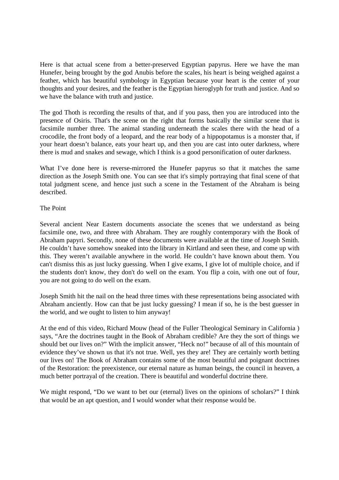Here is that actual scene from a better-preserved Egyptian papyrus. Here we have the man Hunefer, being brought by the god Anubis before the scales, his heart is being weighed against a feather, which has beautiful symbology in Egyptian because your heart is the center of your thoughts and your desires, and the feather is the Egyptian hieroglyph for truth and justice. And so we have the balance with truth and justice.

The god Thoth is recording the results of that, and if you pass, then you are introduced into the presence of Osiris. That's the scene on the right that forms basically the similar scene that is facsimile number three. The animal standing underneath the scales there with the head of a crocodile, the front body of a leopard, and the rear body of a hippopotamus is a monster that, if your heart doesn't balance, eats your heart up, and then you are cast into outer darkness, where there is mud and snakes and sewage, which I think is a good personification of outer darkness.

What I've done here is reverse-mirrored the Hunefer papyrus so that it matches the same direction as the Joseph Smith one. You can see that it's simply portraying that final scene of that total judgment scene, and hence just such a scene in the Testament of the Abraham is being described.

## The Point

Several ancient Near Eastern documents associate the scenes that we understand as being facsimile one, two, and three with Abraham. They are roughly contemporary with the Book of Abraham papyri. Secondly, none of these documents were available at the time of Joseph Smith. He couldn't have somehow sneaked into the library in Kirtland and seen these, and come up with this. They weren't available anywhere in the world. He couldn't have known about them. You can't dismiss this as just lucky guessing. When I give exams, I give lot of multiple choice, and if the students don't know, they don't do well on the exam. You flip a coin, with one out of four, you are not going to do well on the exam.

Joseph Smith hit the nail on the head three times with these representations being associated with Abraham anciently. How can that be just lucky guessing? I mean if so, he is the best guesser in the world, and we ought to listen to him anyway!

At the end of this video, Richard Mouw (head of the Fuller Theological Seminary in California ) says, "Are the doctrines taught in the Book of Abraham credible? Are they the sort of things we should bet our lives on?" With the implicit answer, "Heck no!" because of all of this mountain of evidence they've shown us that it's not true. Well, yes they are! They are certainly worth betting our lives on! The Book of Abraham contains some of the most beautiful and poignant doctrines of the Restoration: the preexistence, our eternal nature as human beings, the council in heaven, a much better portrayal of the creation. There is beautiful and wonderful doctrine there.

We might respond, "Do we want to bet our (eternal) lives on the opinions of scholars?" I think that would be an apt question, and I would wonder what their response would be.